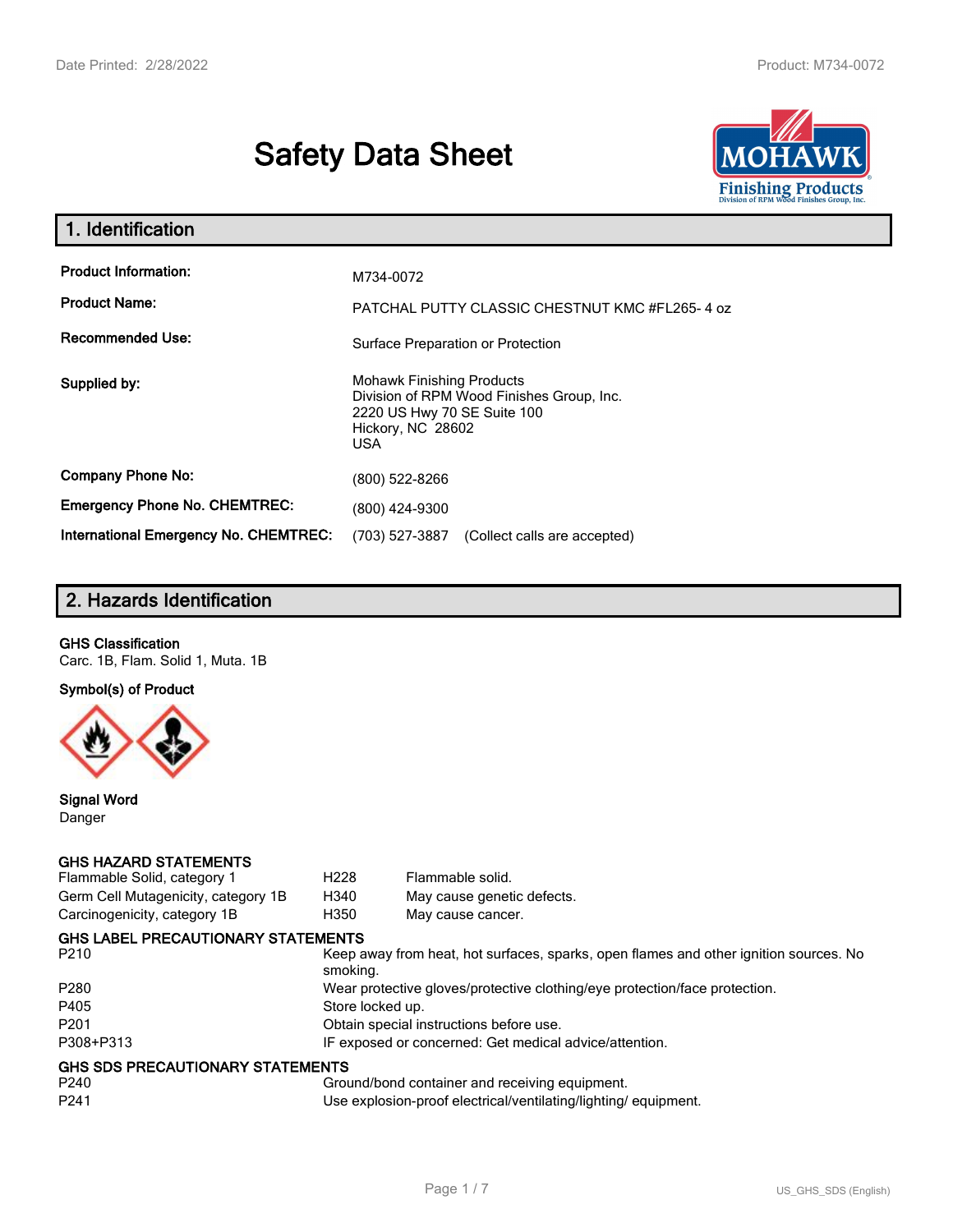# **Safety Data Sheet**



| 1. Identification                                                              |                                                                                                                                          |
|--------------------------------------------------------------------------------|------------------------------------------------------------------------------------------------------------------------------------------|
| <b>Product Information:</b><br><b>Product Name:</b><br><b>Recommended Use:</b> | M734-0072<br>PATCHAL PUTTY CLASSIC CHESTNUT KMC #FL265-4 oz                                                                              |
|                                                                                | Surface Preparation or Protection                                                                                                        |
| Supplied by:                                                                   | <b>Mohawk Finishing Products</b><br>Division of RPM Wood Finishes Group, Inc.<br>2220 US Hwy 70 SE Suite 100<br>Hickory, NC 28602<br>USA |
| <b>Company Phone No:</b>                                                       | (800) 522-8266                                                                                                                           |
| <b>Emergency Phone No. CHEMTREC:</b>                                           | (800) 424-9300                                                                                                                           |
| <b>International Emergency No. CHEMTREC:</b>                                   | (703) 527-3887<br>(Collect calls are accepted)                                                                                           |

# **2. Hazards Identification**

## **GHS Classification**

Carc. 1B, Flam. Solid 1, Muta. 1B

**Symbol(s) of Product**



**Signal Word** Danger

#### **GHS HAZARD STATEMENTS**

| Flammable Solid, category 1         | H <sub>228</sub> | Flammable solid.                                                                      |
|-------------------------------------|------------------|---------------------------------------------------------------------------------------|
| Germ Cell Mutagenicity, category 1B | H340             | May cause genetic defects.                                                            |
| Carcinogenicity, category 1B        | H350             | May cause cancer.                                                                     |
| GHS LABEL PRECAUTIONARY STATEMENTS  |                  |                                                                                       |
| P <sub>210</sub>                    | smoking.         | Keep away from heat, hot surfaces, sparks, open flames and other ignition sources. No |
| P <sub>280</sub>                    |                  | Wear protective gloves/protective clothing/eye protection/face protection.            |
| P405                                | Store locked up. |                                                                                       |
| P <sub>201</sub>                    |                  | Obtain special instructions before use.                                               |
| P308+P313                           |                  | IF exposed or concerned: Get medical advice/attention.                                |
| GHS SDS PRECAUTIONARY STATEMENTS    |                  |                                                                                       |
| P240                                |                  | Ground/bond container and receiving equipment.                                        |
| P <sub>241</sub>                    |                  | Use explosion-proof electrical/ventilating/lighting/equipment.                        |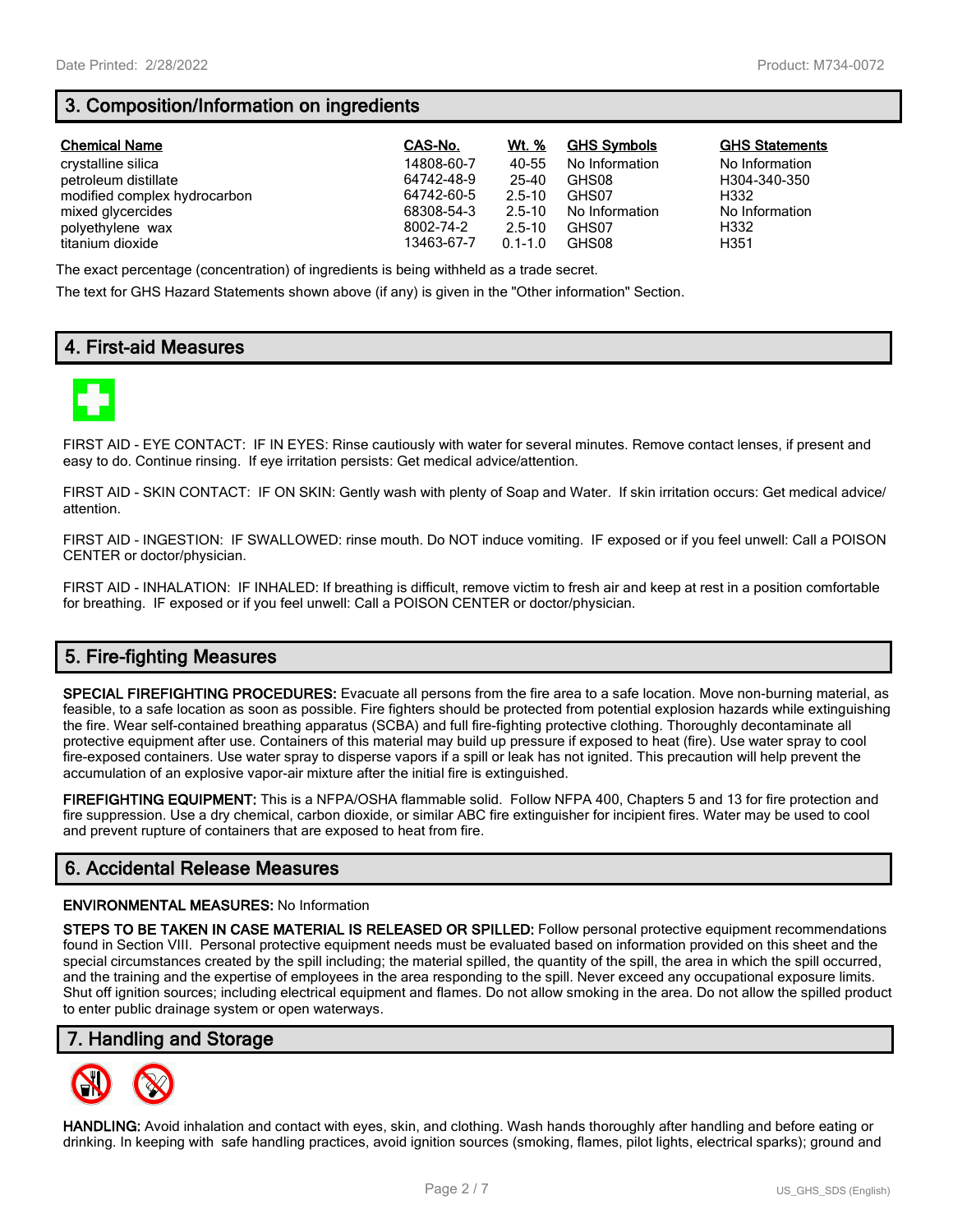# **3. Composition/Information on ingredients**

| <b>Chemical Name</b>         | CAS-No.    | Wt. %       | <b>GHS Symbols</b> | <b>GHS Statements</b> |
|------------------------------|------------|-------------|--------------------|-----------------------|
| crystalline silica           | 14808-60-7 | 40-55       | No Information     | No Information        |
| petroleum distillate         | 64742-48-9 | 25-40       | GHS08              | H304-340-350          |
| modified complex hydrocarbon | 64742-60-5 | $2.5 - 10$  | GHS07              | H332                  |
| mixed glycercides            | 68308-54-3 | $2.5 - 10$  | No Information     | No Information        |
| polyethylene wax             | 8002-74-2  | $2.5 - 10$  | GHS07              | H332                  |
| titanium dioxide             | 13463-67-7 | $0.1 - 1.0$ | GHS08              | H351                  |

The exact percentage (concentration) of ingredients is being withheld as a trade secret.

The text for GHS Hazard Statements shown above (if any) is given in the "Other information" Section.

## **4. First-aid Measures**



FIRST AID - EYE CONTACT: IF IN EYES: Rinse cautiously with water for several minutes. Remove contact lenses, if present and easy to do. Continue rinsing. If eye irritation persists: Get medical advice/attention.

FIRST AID - SKIN CONTACT: IF ON SKIN: Gently wash with plenty of Soap and Water. If skin irritation occurs: Get medical advice/ attention.

FIRST AID - INGESTION: IF SWALLOWED: rinse mouth. Do NOT induce vomiting. IF exposed or if you feel unwell: Call a POISON CENTER or doctor/physician.

FIRST AID - INHALATION: IF INHALED: If breathing is difficult, remove victim to fresh air and keep at rest in a position comfortable for breathing. IF exposed or if you feel unwell: Call a POISON CENTER or doctor/physician.

# **5. Fire-fighting Measures**

**SPECIAL FIREFIGHTING PROCEDURES:** Evacuate all persons from the fire area to a safe location. Move non-burning material, as feasible, to a safe location as soon as possible. Fire fighters should be protected from potential explosion hazards while extinguishing the fire. Wear self-contained breathing apparatus (SCBA) and full fire-fighting protective clothing. Thoroughly decontaminate all protective equipment after use. Containers of this material may build up pressure if exposed to heat (fire). Use water spray to cool fire-exposed containers. Use water spray to disperse vapors if a spill or leak has not ignited. This precaution will help prevent the accumulation of an explosive vapor-air mixture after the initial fire is extinguished.

**FIREFIGHTING EQUIPMENT:** This is a NFPA/OSHA flammable solid. Follow NFPA 400, Chapters 5 and 13 for fire protection and fire suppression. Use a dry chemical, carbon dioxide, or similar ABC fire extinguisher for incipient fires. Water may be used to cool and prevent rupture of containers that are exposed to heat from fire.

## **6. Accidental Release Measures**

#### **ENVIRONMENTAL MEASURES:** No Information

**STEPS TO BE TAKEN IN CASE MATERIAL IS RELEASED OR SPILLED:** Follow personal protective equipment recommendations found in Section VIII. Personal protective equipment needs must be evaluated based on information provided on this sheet and the special circumstances created by the spill including; the material spilled, the quantity of the spill, the area in which the spill occurred, and the training and the expertise of employees in the area responding to the spill. Never exceed any occupational exposure limits. Shut off ignition sources; including electrical equipment and flames. Do not allow smoking in the area. Do not allow the spilled product to enter public drainage system or open waterways.

## **7. Handling and Storage**



**HANDLING:** Avoid inhalation and contact with eyes, skin, and clothing. Wash hands thoroughly after handling and before eating or drinking. In keeping with safe handling practices, avoid ignition sources (smoking, flames, pilot lights, electrical sparks); ground and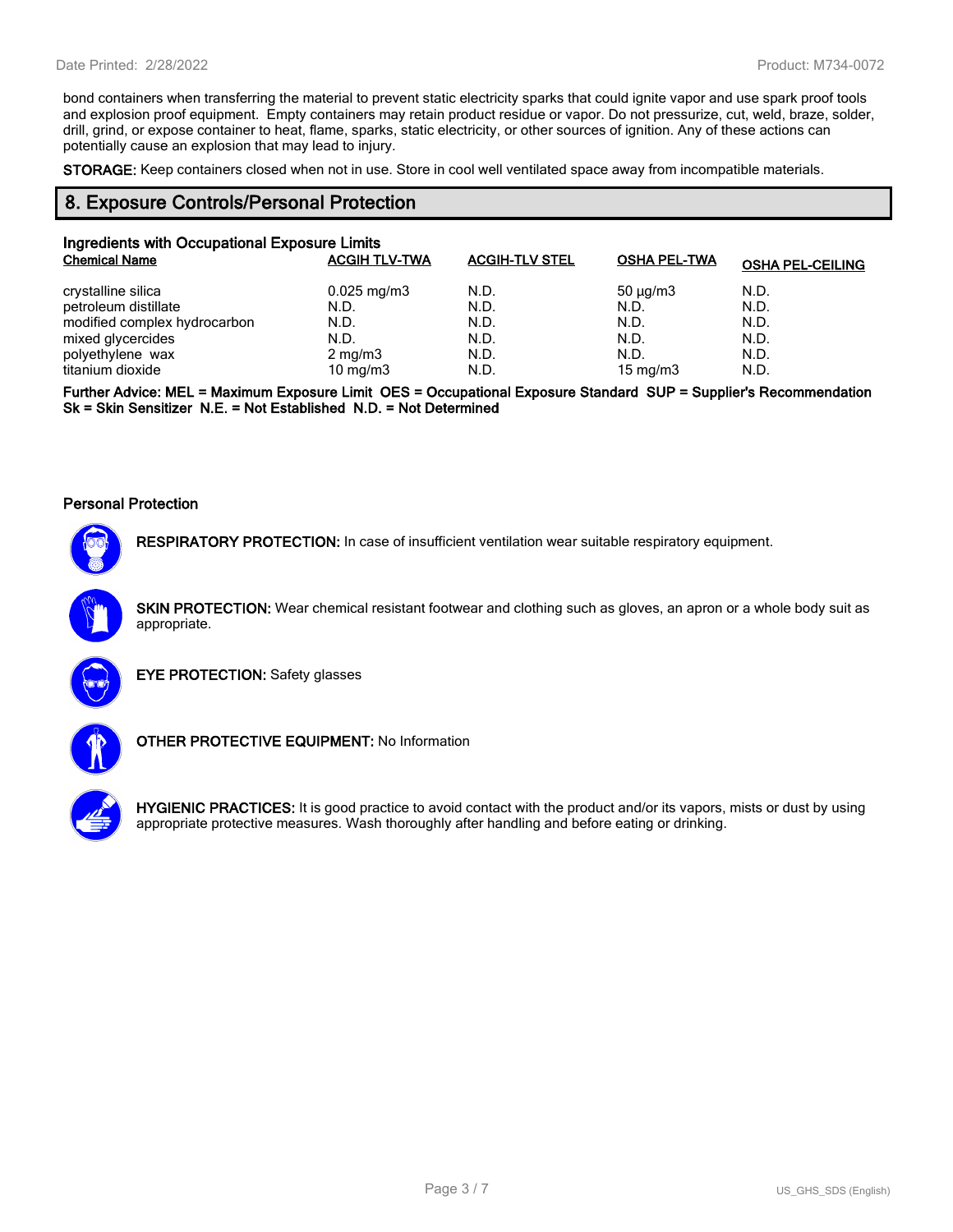bond containers when transferring the material to prevent static electricity sparks that could ignite vapor and use spark proof tools and explosion proof equipment. Empty containers may retain product residue or vapor. Do not pressurize, cut, weld, braze, solder, drill, grind, or expose container to heat, flame, sparks, static electricity, or other sources of ignition. Any of these actions can potentially cause an explosion that may lead to injury.

**STORAGE:** Keep containers closed when not in use. Store in cool well ventilated space away from incompatible materials.

## **8. Exposure Controls/Personal Protection**

| Ingredients with Occupational Exposure Limits |                      |                       |                     |                         |
|-----------------------------------------------|----------------------|-----------------------|---------------------|-------------------------|
| <b>Chemical Name</b>                          | <b>ACGIH TLV-TWA</b> | <b>ACGIH-TLV STEL</b> | <b>OSHA PEL-TWA</b> | <b>OSHA PEL-CEILING</b> |
| crystalline silica                            | $0.025$ mg/m3        | N.D.                  | $50 \mu q/m3$       | N.D.                    |
| petroleum distillate                          | N.D.                 | N.D.                  | N.D.                | N.D.                    |
| modified complex hydrocarbon                  | N.D.                 | N.D.                  | N.D.                | N.D.                    |
| mixed glycercides                             | N.D.                 | N.D.                  | N.D.                | N.D.                    |
| polyethylene wax                              | $2 \text{ mg/m}$     | N.D.                  | N.D.                | N.D.                    |
| titanium dioxide                              | 10 mg/m $3$          | N.D.                  | 15 mg/m $3$         | N.D.                    |

**Further Advice: MEL = Maximum Exposure Limit OES = Occupational Exposure Standard SUP = Supplier's Recommendation Sk = Skin Sensitizer N.E. = Not Established N.D. = Not Determined**

#### **Personal Protection**



**RESPIRATORY PROTECTION:** In case of insufficient ventilation wear suitable respiratory equipment.

**SKIN PROTECTION:** Wear chemical resistant footwear and clothing such as gloves, an apron or a whole body suit as appropriate.



**EYE PROTECTION:** Safety glasses



**OTHER PROTECTIVE EQUIPMENT:** No Information



**HYGIENIC PRACTICES:** It is good practice to avoid contact with the product and/or its vapors, mists or dust by using appropriate protective measures. Wash thoroughly after handling and before eating or drinking.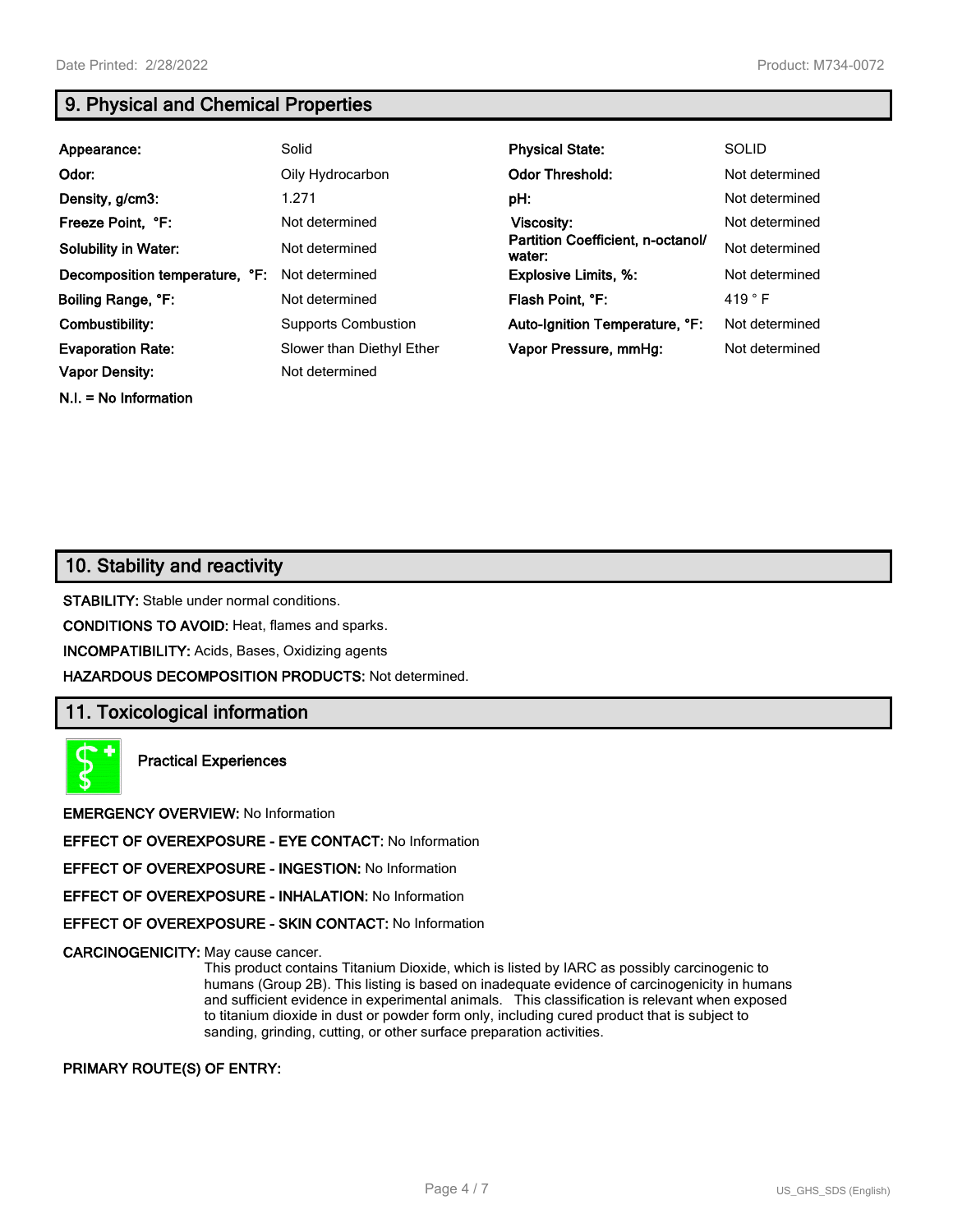**N.I. = No Information**

# **9. Physical and Chemical Properties**

| Appearance:                    | Solid                      | <b>Physical State:</b>                      | <b>SOLID</b>    |
|--------------------------------|----------------------------|---------------------------------------------|-----------------|
| Odor:                          | Oily Hydrocarbon           | <b>Odor Threshold:</b>                      | Not determined  |
| Density, g/cm3:                | 1.271                      | pH:                                         | Not determined  |
| Freeze Point, °F:              | Not determined             | Viscosity:                                  | Not determined  |
| <b>Solubility in Water:</b>    | Not determined             | Partition Coefficient, n-octanol/<br>water: | Not determined  |
| Decomposition temperature, °F: | Not determined             | <b>Explosive Limits, %:</b>                 | Not determined  |
| Boiling Range, °F:             | Not determined             | Flash Point, °F:                            | 419 $\degree$ F |
| Combustibility:                | <b>Supports Combustion</b> | Auto-Ignition Temperature, °F:              | Not determined  |
| <b>Evaporation Rate:</b>       | Slower than Diethyl Ether  | Vapor Pressure, mmHg:                       | Not determined  |
| <b>Vapor Density:</b>          | Not determined             |                                             |                 |

## **10. Stability and reactivity**

**STABILITY:** Stable under normal conditions.

**CONDITIONS TO AVOID:** Heat, flames and sparks.

**INCOMPATIBILITY:** Acids, Bases, Oxidizing agents

**HAZARDOUS DECOMPOSITION PRODUCTS:** Not determined.

## **11. Toxicological information**

**Practical Experiences**

**EMERGENCY OVERVIEW:** No Information

**EFFECT OF OVEREXPOSURE - EYE CONTACT:** No Information

**EFFECT OF OVEREXPOSURE - INGESTION:** No Information

**EFFECT OF OVEREXPOSURE - INHALATION:** No Information

**EFFECT OF OVEREXPOSURE - SKIN CONTACT:** No Information

**CARCINOGENICITY:** May cause cancer.

This product contains Titanium Dioxide, which is listed by IARC as possibly carcinogenic to humans (Group 2B). This listing is based on inadequate evidence of carcinogenicity in humans and sufficient evidence in experimental animals. This classification is relevant when exposed to titanium dioxide in dust or powder form only, including cured product that is subject to sanding, grinding, cutting, or other surface preparation activities.

**PRIMARY ROUTE(S) OF ENTRY:**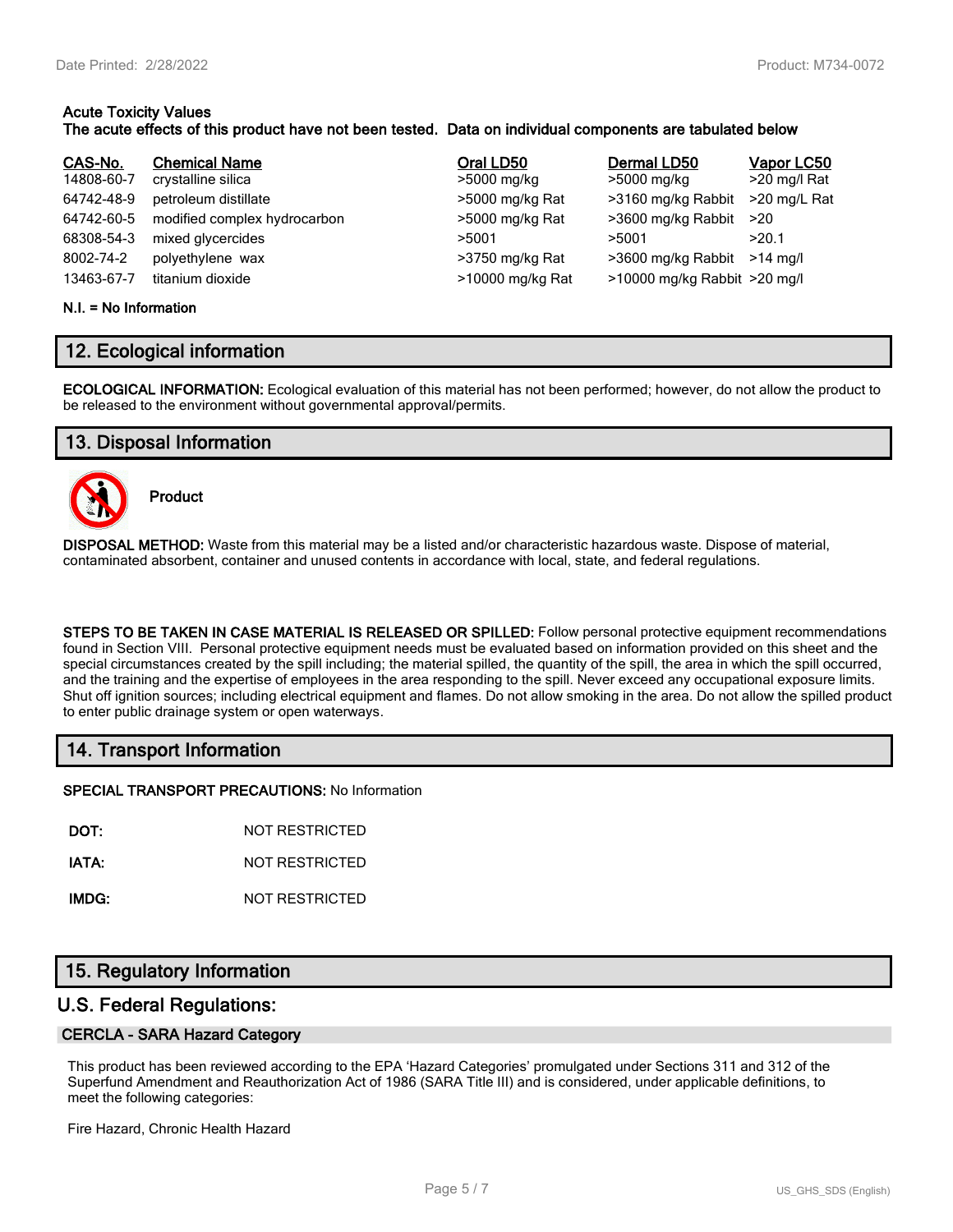#### **Acute Toxicity Values The acute effects of this product have not been tested. Data on individual components are tabulated below**

| CAS-No.    | <b>Chemical Name</b>         | Oral LD50        | Dermal LD50                  | Vapor LC50   |
|------------|------------------------------|------------------|------------------------------|--------------|
| 14808-60-7 | crystalline silica           | >5000 mg/kg      | >5000 mg/kg                  | >20 mg/l Rat |
| 64742-48-9 | petroleum distillate         | >5000 mg/kg Rat  | >3160 mg/kg Rabbit           | >20 mg/L Rat |
| 64742-60-5 | modified complex hydrocarbon | >5000 mg/kg Rat  | >3600 mg/kg Rabbit           | >20          |
| 68308-54-3 | mixed glycercides            | >5001            | >5001                        | >20.1        |
| 8002-74-2  | polyethylene wax             | >3750 mg/kg Rat  | >3600 mg/kg Rabbit           | $>14$ ma/l   |
| 13463-67-7 | titanium dioxide             | >10000 mg/kg Rat | >10000 mg/kg Rabbit >20 mg/l |              |

#### **N.I. = No Information**

## **12. Ecological information**

**ECOLOGICAL INFORMATION:** Ecological evaluation of this material has not been performed; however, do not allow the product to be released to the environment without governmental approval/permits.

## **13. Disposal Information**



**Product**

**DISPOSAL METHOD:** Waste from this material may be a listed and/or characteristic hazardous waste. Dispose of material, contaminated absorbent, container and unused contents in accordance with local, state, and federal regulations.

**STEPS TO BE TAKEN IN CASE MATERIAL IS RELEASED OR SPILLED:** Follow personal protective equipment recommendations found in Section VIII. Personal protective equipment needs must be evaluated based on information provided on this sheet and the special circumstances created by the spill including; the material spilled, the quantity of the spill, the area in which the spill occurred, and the training and the expertise of employees in the area responding to the spill. Never exceed any occupational exposure limits. Shut off ignition sources; including electrical equipment and flames. Do not allow smoking in the area. Do not allow the spilled product to enter public drainage system or open waterways.

## **14. Transport Information**

**SPECIAL TRANSPORT PRECAUTIONS:** No Information

**DOT:** NOT RESTRICTED

**IATA:** NOT RESTRICTED

**IMDG:** NOT RESTRICTED

## **15. Regulatory Information**

## **U.S. Federal Regulations:**

#### **CERCLA - SARA Hazard Category**

This product has been reviewed according to the EPA 'Hazard Categories' promulgated under Sections 311 and 312 of the Superfund Amendment and Reauthorization Act of 1986 (SARA Title III) and is considered, under applicable definitions, to meet the following categories:

Fire Hazard, Chronic Health Hazard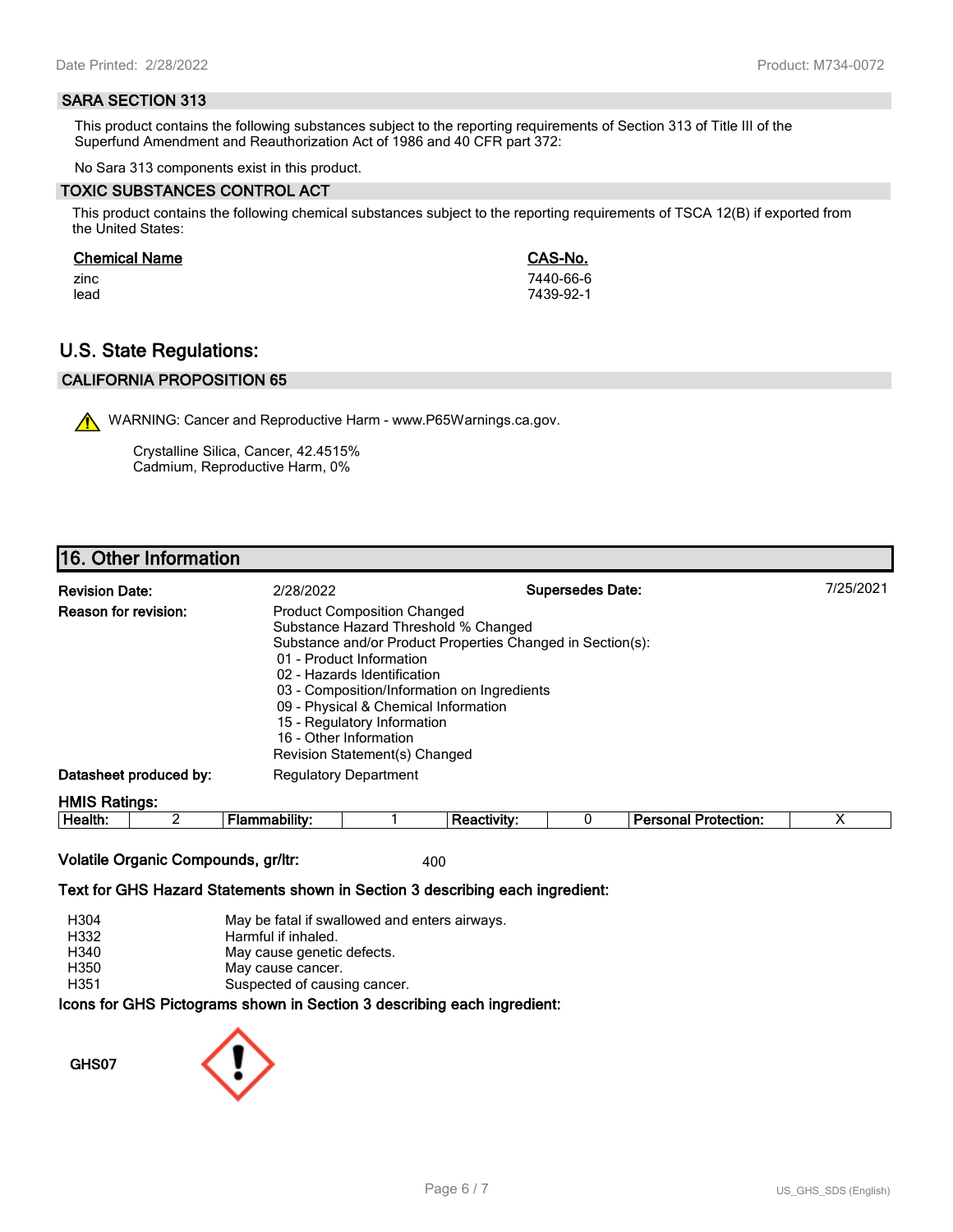#### **SARA SECTION 313**

This product contains the following substances subject to the reporting requirements of Section 313 of Title III of the Superfund Amendment and Reauthorization Act of 1986 and 40 CFR part 372:

No Sara 313 components exist in this product.

#### **TOXIC SUBSTANCES CONTROL ACT**

This product contains the following chemical substances subject to the reporting requirements of TSCA 12(B) if exported from the United States:

#### **Chemical Name CAS-No.**

zinc 7440-66-6 lead 7439-92-1

## **U.S. State Regulations:**

## **CALIFORNIA PROPOSITION 65**

WARNING: Cancer and Reproductive Harm - www.P65Warnings.ca.gov.

Crystalline Silica, Cancer, 42.4515% Cadmium, Reproductive Harm, 0%

## **16. Other Information**

| <b>Revision Date:</b>  | 2/28/2022                                                                                                                                                                                                                                                                                                                                                                            | <b>Supersedes Date:</b> | 7/25/2021 |
|------------------------|--------------------------------------------------------------------------------------------------------------------------------------------------------------------------------------------------------------------------------------------------------------------------------------------------------------------------------------------------------------------------------------|-------------------------|-----------|
| Reason for revision:   | <b>Product Composition Changed</b><br>Substance Hazard Threshold % Changed<br>Substance and/or Product Properties Changed in Section(s):<br>01 - Product Information<br>02 - Hazards Identification<br>03 - Composition/Information on Ingredients<br>09 - Physical & Chemical Information<br>15 - Regulatory Information<br>16 - Other Information<br>Revision Statement(s) Changed |                         |           |
| Datasheet produced by: | <b>Regulatory Department</b>                                                                                                                                                                                                                                                                                                                                                         |                         |           |
| <b>HMIS Ratings:</b>   |                                                                                                                                                                                                                                                                                                                                                                                      |                         |           |

| . .<br>-<br>ле<br><br><br> |  |  | - --<br>$ -$<br>.<br>лил |  |
|----------------------------|--|--|--------------------------|--|
|                            |  |  |                          |  |

## **Volatile Organic Compounds, gr/ltr:** 400

#### **Text for GHS Hazard Statements shown in Section 3 describing each ingredient:**

| H304 | May be fatal if swallowed and enters airways.                   |
|------|-----------------------------------------------------------------|
| H332 | Harmful if inhaled.                                             |
| H340 | May cause genetic defects.                                      |
| H350 | May cause cancer.                                               |
| H351 | Suspected of causing cancer.                                    |
|      | cons for CHS Dictograms shown in Section 3 describing each ingr |

**Icons for GHS Pictograms shown in Section 3 describing each ingredient:**

**GHS07**